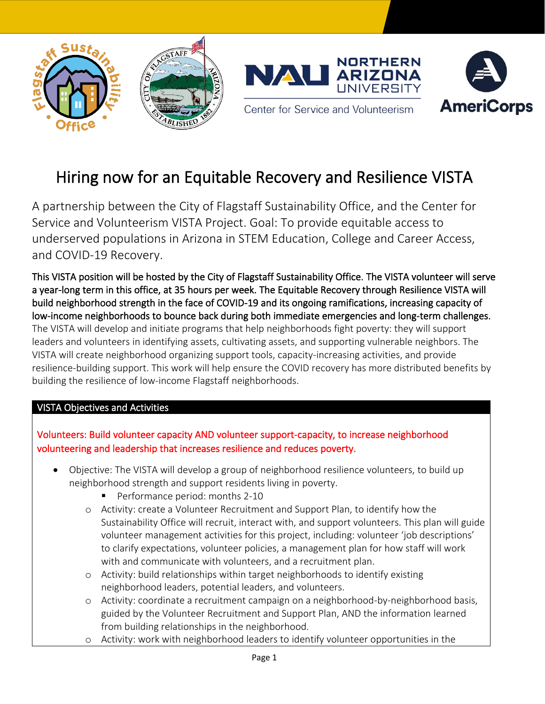





Center for Service and Volunteerism

# Hiring now for an Equitable Recovery and Resilience VISTA

A partnership between the City of Flagstaff Sustainability Office, and the Center for Service and Volunteerism VISTA Project. Goal: To provide equitable access to underserved populations in Arizona in STEM Education, College and Career Access, and COVID-19 Recovery.

This VISTA position will be hosted by the City of Flagstaff Sustainability Office. The VISTA volunteer will serve a year-long term in this office, at 35 hours per week. The Equitable Recovery through Resilience VISTA will build neighborhood strength in the face of COVID-19 and its ongoing ramifications, increasing capacity of low-income neighborhoods to bounce back during both immediate emergencies and long-term challenges. The VISTA will develop and initiate programs that help neighborhoods fight poverty: they will support leaders and volunteers in identifying assets, cultivating assets, and supporting vulnerable neighbors. The VISTA will create neighborhood organizing support tools, capacity-increasing activities, and provide resilience-building support. This work will help ensure the COVID recovery has more distributed benefits by building the resilience of low-income Flagstaff neighborhoods.

## VISTA Objectives and Activities

## • Volunteers: Build volunteer capacity AND volunteer support-capacity, to increase neighborhood volunteering and leadership that increases resilience and reduces poverty.

- Objective: The VISTA will develop a group of neighborhood resilience volunteers, to build up neighborhood strength and support residents living in poverty.
	- Performance period: months 2-10
	- o Activity: create a Volunteer Recruitment and Support Plan, to identify how the Sustainability Office will recruit, interact with, and support volunteers. This plan will guide volunteer management activities for this project, including: volunteer 'job descriptions' to clarify expectations, volunteer policies, a management plan for how staff will work with and communicate with volunteers, and a recruitment plan.
	- o Activity: build relationships within target neighborhoods to identify existing neighborhood leaders, potential leaders, and volunteers.
	- o Activity: coordinate a recruitment campaign on a neighborhood-by-neighborhood basis, guided by the Volunteer Recruitment and Support Plan, AND the information learned from building relationships in the neighborhood.
	- o Activity: work with neighborhood leaders to identify volunteer opportunities in the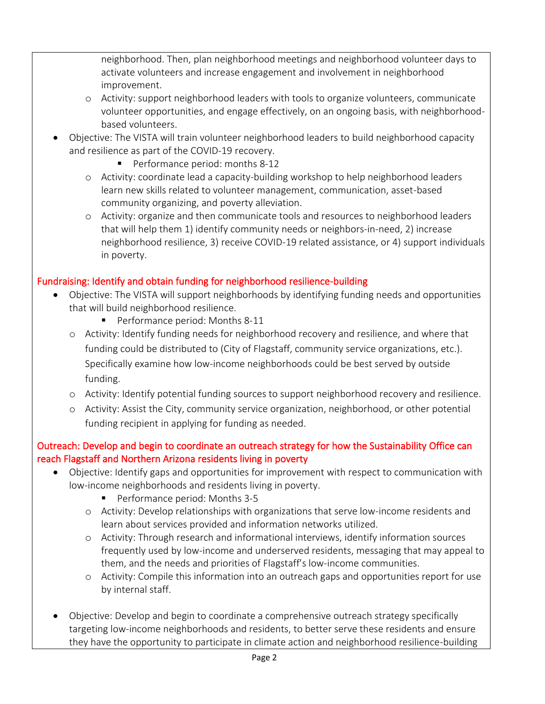neighborhood. Then, plan neighborhood meetings and neighborhood volunteer days to activate volunteers and increase engagement and involvement in neighborhood improvement.

- o Activity: support neighborhood leaders with tools to organize volunteers, communicate volunteer opportunities, and engage effectively, on an ongoing basis, with neighborhoodbased volunteers.
- Objective: The VISTA will train volunteer neighborhood leaders to build neighborhood capacity and resilience as part of the COVID-19 recovery.
	- Performance period: months 8-12
	- o Activity: coordinate lead a capacity-building workshop to help neighborhood leaders learn new skills related to volunteer management, communication, asset-based community organizing, and poverty alleviation.
	- o Activity: organize and then communicate tools and resources to neighborhood leaders that will help them 1) identify community needs or neighbors-in-need, 2) increase neighborhood resilience, 3) receive COVID-19 related assistance, or 4) support individuals in poverty.

### Fundraising: Identify and obtain funding for neighborhood resilience-building

- Objective: The VISTA will support neighborhoods by identifying funding needs and opportunities that will build neighborhood resilience.
	- Performance period: Months 8-11
	- o Activity: Identify funding needs for neighborhood recovery and resilience, and where that funding could be distributed to (City of Flagstaff, community service organizations, etc.). Specifically examine how low-income neighborhoods could be best served by outside funding.
	- o Activity: Identify potential funding sources to support neighborhood recovery and resilience.
	- o Activity: Assist the City, community service organization, neighborhood, or other potential funding recipient in applying for funding as needed.

### Outreach: Develop and begin to coordinate an outreach strategy for how the Sustainability Office can reach Flagstaff and Northern Arizona residents living in poverty

- Objective: Identify gaps and opportunities for improvement with respect to communication with low-income neighborhoods and residents living in poverty.
	- Performance period: Months 3-5
	- o Activity: Develop relationships with organizations that serve low-income residents and learn about services provided and information networks utilized.
	- o Activity: Through research and informational interviews, identify information sources frequently used by low-income and underserved residents, messaging that may appeal to them, and the needs and priorities of Flagstaff's low-income communities.
	- o Activity: Compile this information into an outreach gaps and opportunities report for use by internal staff.
- Objective: Develop and begin to coordinate a comprehensive outreach strategy specifically targeting low-income neighborhoods and residents, to better serve these residents and ensure they have the opportunity to participate in climate action and neighborhood resilience-building